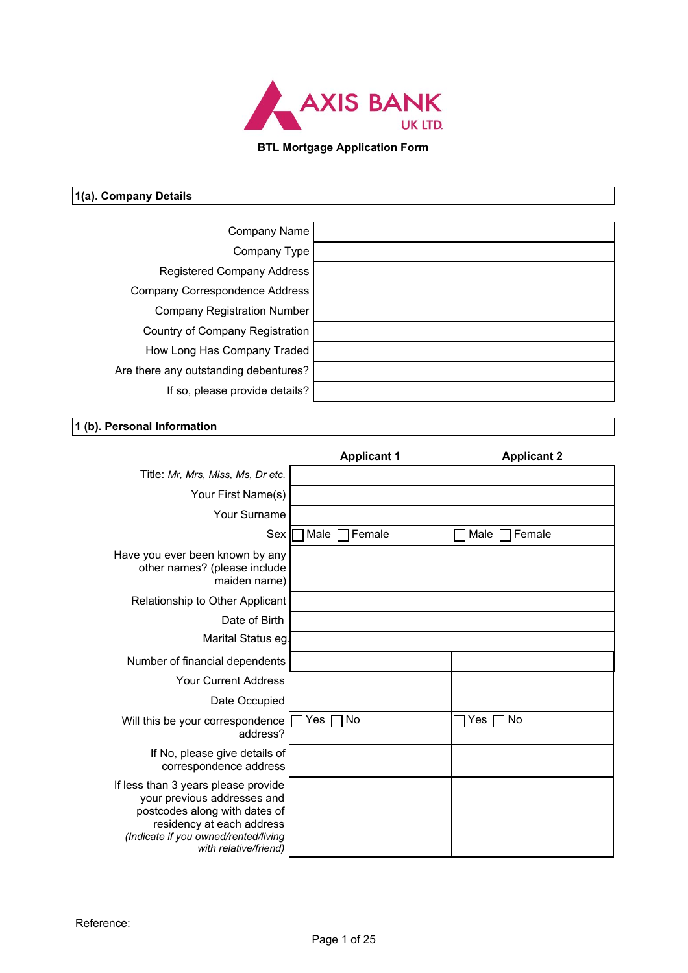

## **BTL Mortgage Application Form**

| 1(a). Company Details |              |
|-----------------------|--------------|
|                       |              |
|                       | Company Name |

| Company Name                          |  |
|---------------------------------------|--|
| Company Type                          |  |
| Registered Company Address            |  |
| Company Correspondence Address        |  |
| Company Registration Number           |  |
| Country of Company Registration       |  |
| How Long Has Company Traded           |  |
| Are there any outstanding debentures? |  |
| If so, please provide details?        |  |
|                                       |  |

## **1 (b). Personal Information**

|                                                                                                                                                                                                   | <b>Applicant 1</b> | <b>Applicant 2</b>        |
|---------------------------------------------------------------------------------------------------------------------------------------------------------------------------------------------------|--------------------|---------------------------|
| Title: Mr, Mrs, Miss, Ms, Dr etc.                                                                                                                                                                 |                    |                           |
| Your First Name(s)                                                                                                                                                                                |                    |                           |
| Your Surname                                                                                                                                                                                      |                    |                           |
| $\text{Sex}$                                                                                                                                                                                      | Male Female        | $\Box$ Male $\Box$ Female |
| Have you ever been known by any<br>other names? (please include<br>maiden name)                                                                                                                   |                    |                           |
| Relationship to Other Applicant                                                                                                                                                                   |                    |                           |
| Date of Birth                                                                                                                                                                                     |                    |                           |
| Marital Status eg.                                                                                                                                                                                |                    |                           |
| Number of financial dependents                                                                                                                                                                    |                    |                           |
| Your Current Address                                                                                                                                                                              |                    |                           |
| Date Occupied                                                                                                                                                                                     |                    |                           |
| Will this be your correspondence<br>address?                                                                                                                                                      | Yes $\Box$ No      | Yes $\Box$ No             |
| If No, please give details of<br>correspondence address                                                                                                                                           |                    |                           |
| If less than 3 years please provide<br>your previous addresses and<br>postcodes along with dates of<br>residency at each address<br>(Indicate if you owned/rented/living<br>with relative/friend) |                    |                           |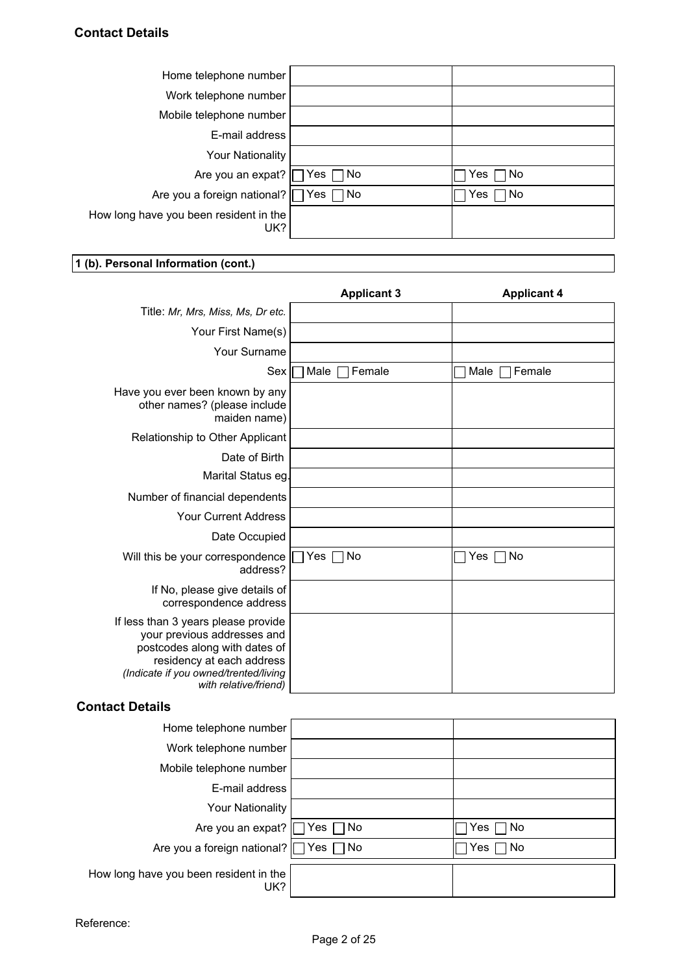| Home telephone number                         |               |  |
|-----------------------------------------------|---------------|--|
| Work telephone number                         |               |  |
| Mobile telephone number                       |               |  |
| E-mail address                                |               |  |
| Your Nationality                              |               |  |
| Are you an expat?   Yes No                    | Yes $\Box$ No |  |
| Are you a foreign national?   Yes   No        | Yes $\neg$ No |  |
| How long have you been resident in the<br>UK? |               |  |
|                                               |               |  |

## **1 (b). Personal Information (cont.)**

|                                                                                                                                                                                                    | <b>Applicant 3</b>               | <b>Applicant 4</b>        |
|----------------------------------------------------------------------------------------------------------------------------------------------------------------------------------------------------|----------------------------------|---------------------------|
| Title: Mr, Mrs, Miss, Ms, Dr etc.                                                                                                                                                                  |                                  |                           |
| Your First Name(s)                                                                                                                                                                                 |                                  |                           |
| Your Surname                                                                                                                                                                                       |                                  |                           |
|                                                                                                                                                                                                    | $Sex \n\Box$ Male $ \Box$ Female | $\Box$ Male $\Box$ Female |
| Have you ever been known by any<br>other names? (please include<br>maiden name)                                                                                                                    |                                  |                           |
| Relationship to Other Applicant                                                                                                                                                                    |                                  |                           |
| Date of Birth                                                                                                                                                                                      |                                  |                           |
| Marital Status eg.                                                                                                                                                                                 |                                  |                           |
| Number of financial dependents                                                                                                                                                                     |                                  |                           |
| <b>Your Current Address</b>                                                                                                                                                                        |                                  |                           |
| Date Occupied                                                                                                                                                                                      |                                  |                           |
| Will this be your correspondence   Yes   No<br>address?                                                                                                                                            |                                  | $\sqcap$ Yes $\sqcap$ No  |
| If No, please give details of<br>correspondence address                                                                                                                                            |                                  |                           |
| If less than 3 years please provide<br>your previous addresses and<br>postcodes along with dates of<br>residency at each address<br>(Indicate if you owned/trented/living<br>with relative/friend) |                                  |                           |

## **Contact Details**

| Home telephone number                         |               |  |
|-----------------------------------------------|---------------|--|
| Work telephone number                         |               |  |
| Mobile telephone number                       |               |  |
| E-mail address                                |               |  |
| Your Nationality                              |               |  |
| Are you an expat? $\Box$ Yes $\Box$ No        | Yes $\Box$ No |  |
| Are you a foreign national?   Yes □ No        | Yes $\Box$ No |  |
| How long have you been resident in the<br>UK? |               |  |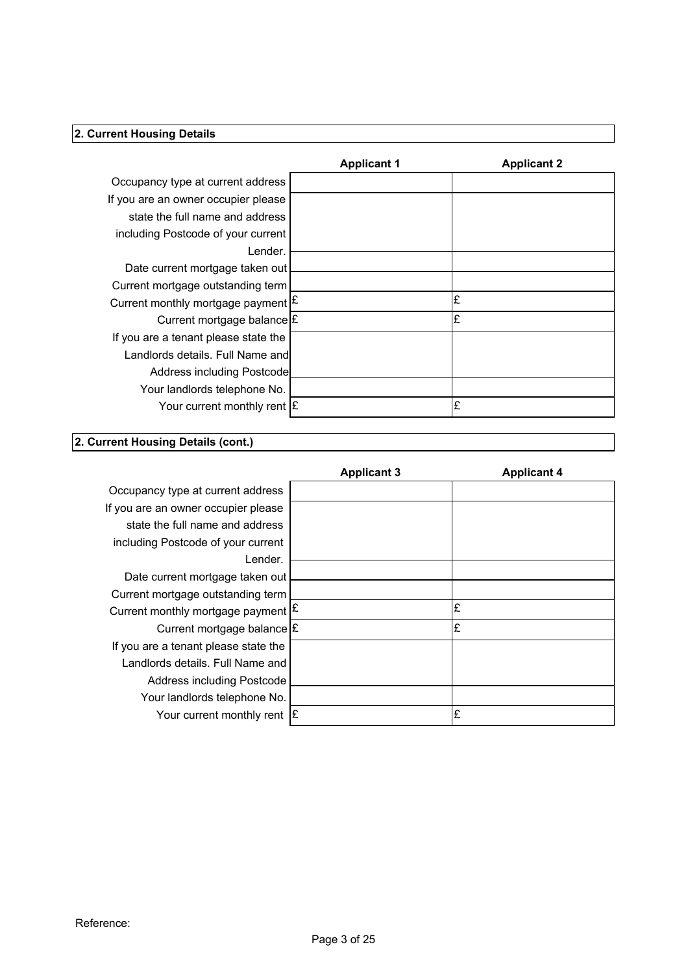| 2. Current Housing Details                                             |                    |                    |
|------------------------------------------------------------------------|--------------------|--------------------|
|                                                                        |                    |                    |
|                                                                        | <b>Applicant 1</b> | <b>Applicant 2</b> |
| Occupancy type at current address                                      |                    |                    |
| If you are an owner occupier please<br>state the full name and address |                    |                    |
| including Postcode of your current                                     |                    |                    |
| Lender.                                                                |                    |                    |
| Date current mortgage taken out                                        |                    |                    |
| Current mortgage outstanding term                                      |                    |                    |
| Current monthly mortgage payment $ \mathbf{E} $                        |                    | £                  |
| Current mortgage balance £                                             |                    | £                  |
| If you are a tenant please state the                                   |                    |                    |
|                                                                        |                    |                    |
|                                                                        |                    |                    |
| Landlords details. Full Name and                                       |                    |                    |
| Address including Postcode                                             |                    |                    |
| Your landlords telephone No.                                           |                    | £                  |
| Your current monthly rent $\mathbf{\epsilon}$                          |                    |                    |
| 2. Current Housing Details (cont.)                                     |                    |                    |
|                                                                        | <b>Applicant 3</b> | <b>Applicant 4</b> |
|                                                                        |                    |                    |
| Occupancy type at current address                                      |                    |                    |
| If you are an owner occupier please<br>state the full name and address |                    |                    |

| <b>Applicant 3</b><br><b>Applicant 4</b>        |  |
|-------------------------------------------------|--|
| Occupancy type at current address               |  |
| If you are an owner occupier please             |  |
| state the full name and address                 |  |
| including Postcode of your current              |  |
| Lender.                                         |  |
| Date current mortgage taken out                 |  |
| Current mortgage outstanding term               |  |
| Current monthly mortgage payment $ \mathbf{f} $ |  |
| Current mortgage balance E                      |  |
| If you are a tenant please state the            |  |
| Landlords details. Full Name and                |  |
| Address including Postcode                      |  |
| Your landlords telephone No.                    |  |
| Your current monthly rent $ \mathbf{E} $        |  |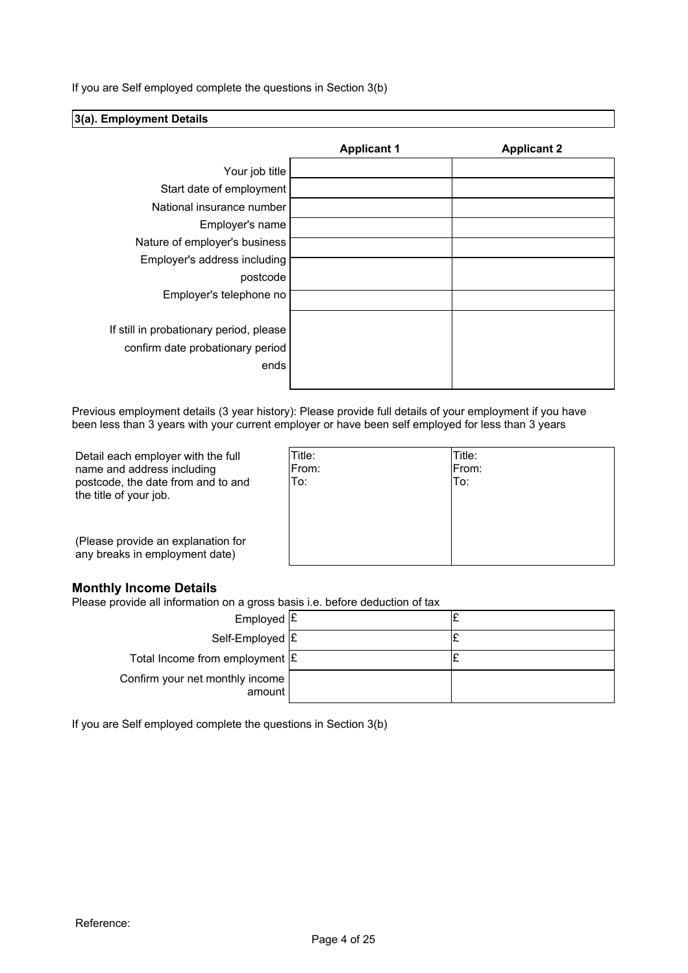If you are Self employed complete the questions in Section 3(b)

### **3(a). Employment Details**

|                                         | <b>Applicant 1</b> | <b>Applicant 2</b> |
|-----------------------------------------|--------------------|--------------------|
| Your job title                          |                    |                    |
| Start date of employment                |                    |                    |
| National insurance number               |                    |                    |
| Employer's name                         |                    |                    |
| Nature of employer's business           |                    |                    |
| Employer's address including            |                    |                    |
| postcode                                |                    |                    |
| Employer's telephone no                 |                    |                    |
|                                         |                    |                    |
| If still in probationary period, please |                    |                    |
| confirm date probationary period        |                    |                    |
| ends                                    |                    |                    |
|                                         |                    |                    |

Previous employment details (3 year history): Please provide full details of your employment if you have been less than 3 years with your current employer or have been self employed for less than 3 years

Detail each employer with the full name and address including postcode, the date from and to and the title of your job.

| Title: |
|--------|
| From:  |
| To:    |
|        |
|        |
|        |
|        |
|        |
|        |

(Please provide an explanation for any breaks in employment date)

## **Monthly Income Details**

Please provide all information on a gross basis i.e. before deduction of tax

| Employed $E$                              |  |  |
|-------------------------------------------|--|--|
| Self-Employed E                           |  |  |
| Total Income from employment $\mathbf{E}$ |  |  |
| Confirm your net monthly income<br>amount |  |  |
|                                           |  |  |

If you are Self employed complete the questions in Section 3(b)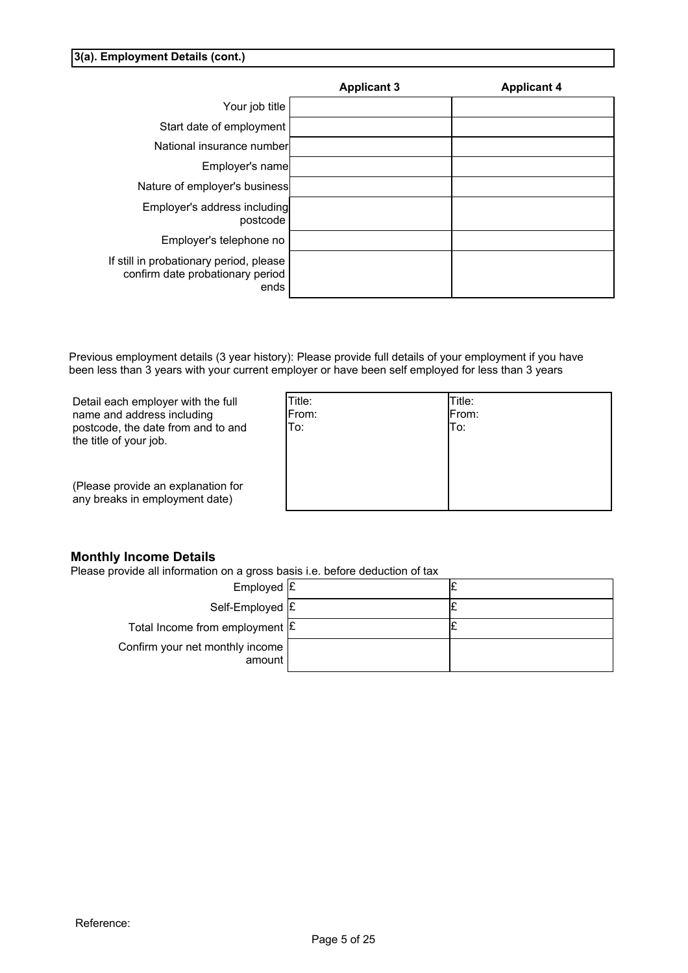### **3(a). Employment Details (cont.)**

|                                                                                     | <b>Applicant 3</b> | <b>Applicant 4</b> |
|-------------------------------------------------------------------------------------|--------------------|--------------------|
| Your job title                                                                      |                    |                    |
| Start date of employment                                                            |                    |                    |
| National insurance number                                                           |                    |                    |
| Employer's name                                                                     |                    |                    |
| Nature of employer's business                                                       |                    |                    |
| Employer's address including<br>postcode                                            |                    |                    |
| Employer's telephone no                                                             |                    |                    |
| If still in probationary period, please<br>confirm date probationary period<br>ends |                    |                    |

Previous employment details (3 year history): Please provide full details of your employment if you have been less than 3 years with your current employer or have been self employed for less than 3 years

Detail each employer with the full name and address including postcode, the date from and to and the title of your job.

| Title: | Title:<br>From: |
|--------|-----------------|
| From:  |                 |
| To:    | To:             |
|        |                 |
|        |                 |
|        |                 |
|        |                 |
|        |                 |
|        |                 |

(Please provide an explanation for any breaks in employment date)

## **Monthly Income Details**

Please provide all information on a gross basis i.e. before deduction of tax

| Employed $E$                              |  |  |
|-------------------------------------------|--|--|
| Self-Employed E                           |  |  |
| Total Income from employment $\mathbf{E}$ |  |  |
| Confirm your net monthly income<br>amount |  |  |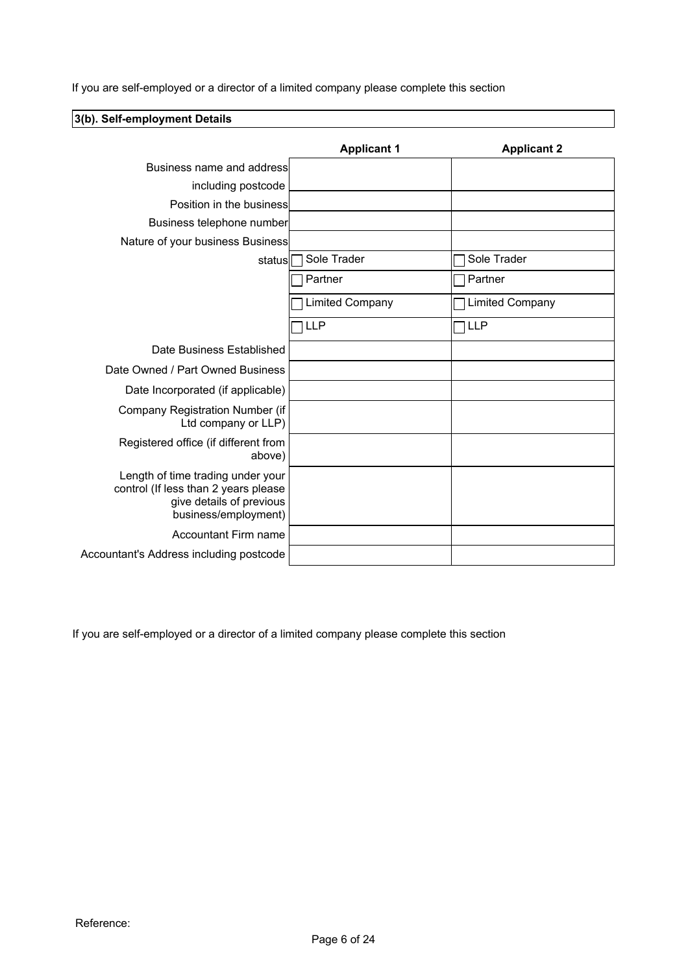If you are self-employed or a director of a limited company please complete this section

## **3(b). Self-employment Details Applicant 1 Applicant 2** Business name and address including postcode Position in the business Business telephone number Nature of your business Business status Sole Trader Sole Trader **T** Partner Partner Limited Company  $\Box$  Limited Company LLP TILLP TO THE TELL PARTIES IN THE TELL PARTIES IN THE TELL PARTIES IN THE TELL PARTIES IN THE TELL PARTIES Date Business Established Date Owned / Part Owned Business Date Incorporated (if applicable) Company Registration Number (if Ltd company or LLP) Registered office (if different from above) Length of time trading under your control (If less than 2 years please give details of previous business/employment) Accountant Firm name Accountant's Address including postcode

If you are self-employed or a director of a limited company please complete this section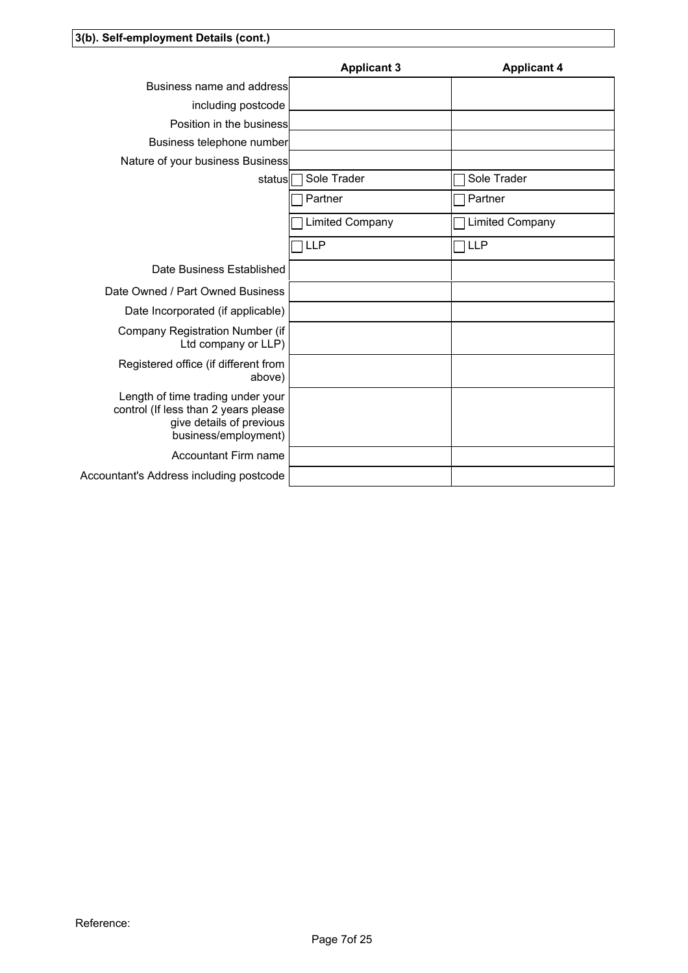|                                                                                                                               | <b>Applicant 3</b>     | <b>Applicant 4</b> |
|-------------------------------------------------------------------------------------------------------------------------------|------------------------|--------------------|
| Business name and address                                                                                                     |                        |                    |
| including postcode                                                                                                            |                        |                    |
| Position in the business                                                                                                      |                        |                    |
| Business telephone number                                                                                                     |                        |                    |
| Nature of your business Business                                                                                              |                        |                    |
|                                                                                                                               | status   Sole Trader   | Sole Trader        |
|                                                                                                                               | Partner                | Partner            |
|                                                                                                                               | <b>Limited Company</b> | Limited Company    |
|                                                                                                                               | <b>TLLP</b>            | $\Box$ LLP         |
| Date Business Established                                                                                                     |                        |                    |
| Date Owned / Part Owned Business                                                                                              |                        |                    |
| Date Incorporated (if applicable)                                                                                             |                        |                    |
| Company Registration Number (if<br>Ltd company or LLP)                                                                        |                        |                    |
| Registered office (if different from<br>above)                                                                                |                        |                    |
| Length of time trading under your<br>control (If less than 2 years please<br>give details of previous<br>business/employment) |                        |                    |
| <b>Accountant Firm name</b>                                                                                                   |                        |                    |
| Accountant's Address including postcode                                                                                       |                        |                    |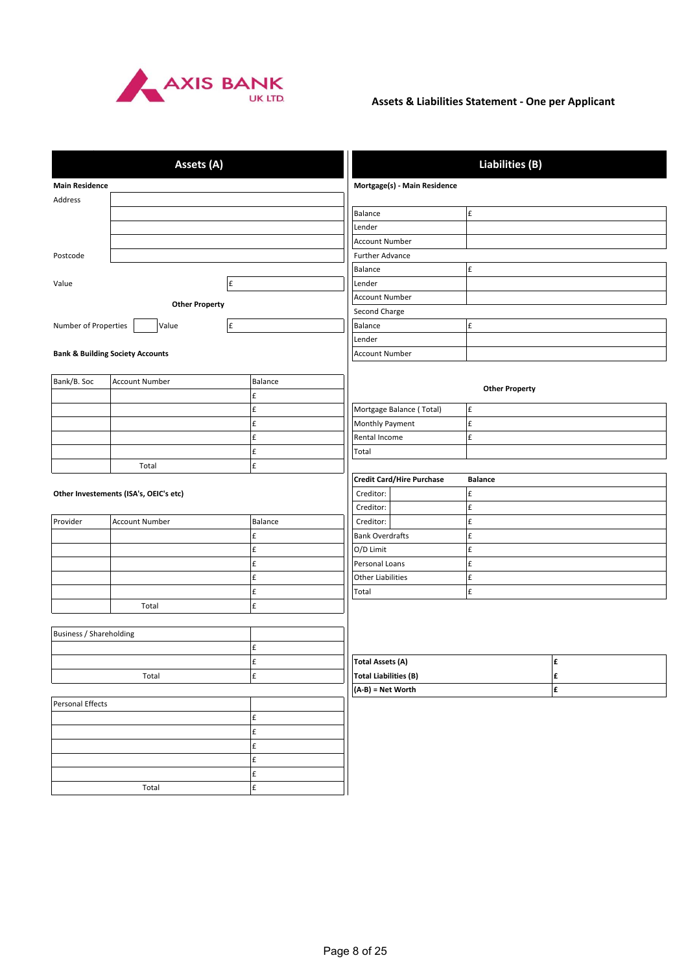

## **Assets & Liabilities Statement - One per Applicant**

|                         | Assets (A)                                  |                    |                                  | <b>Liabilities (B)</b> |   |
|-------------------------|---------------------------------------------|--------------------|----------------------------------|------------------------|---|
| <b>Main Residence</b>   |                                             |                    | Mortgage(s) - Main Residence     |                        |   |
| Address                 |                                             |                    |                                  |                        |   |
|                         |                                             |                    | Balance                          | £                      |   |
|                         |                                             |                    | Lender                           |                        |   |
|                         |                                             |                    | <b>Account Number</b>            |                        |   |
| Postcode                |                                             |                    | Further Advance                  |                        |   |
|                         |                                             |                    | Balance                          | £                      |   |
| Value                   |                                             | $\pmb{\mathsf{f}}$ | Lender                           |                        |   |
|                         |                                             |                    | <b>Account Number</b>            |                        |   |
|                         | <b>Other Property</b>                       |                    | Second Charge                    |                        |   |
| Number of Properties    | Value                                       | $\mathbf f$        | Balance                          | £                      |   |
|                         |                                             |                    | Lender                           |                        |   |
|                         | <b>Bank &amp; Building Society Accounts</b> |                    | <b>Account Number</b>            |                        |   |
|                         |                                             |                    |                                  |                        |   |
| Bank/B. Soc             | <b>Account Number</b>                       | Balance            |                                  |                        |   |
|                         |                                             | £                  |                                  | <b>Other Property</b>  |   |
|                         |                                             | $\pmb{\mathsf{f}}$ | Mortgage Balance (Total)         | £                      |   |
|                         |                                             | £                  | Monthly Payment                  | £                      |   |
|                         |                                             | £                  | Rental Income                    | £                      |   |
|                         |                                             | $\pmb{\mathsf{f}}$ | Total                            |                        |   |
|                         | Total                                       | $\pmb{\mathsf{f}}$ |                                  |                        |   |
|                         |                                             |                    | <b>Credit Card/Hire Purchase</b> | <b>Balance</b>         |   |
|                         | Other Investements (ISA's, OEIC's etc)      |                    | Creditor:                        | £                      |   |
|                         |                                             |                    | Creditor:                        | $\pmb{\mathsf{f}}$     |   |
| Provider                | <b>Account Number</b>                       | Balance            | Creditor:                        | $\pmb{\mathsf{f}}$     |   |
|                         |                                             | $\pmb{\mathsf{f}}$ | <b>Bank Overdrafts</b>           | $\pmb{\mathsf{f}}$     |   |
|                         |                                             | $\pmb{\mathsf{f}}$ | O/D Limit                        | £                      |   |
|                         |                                             | $\pmb{\mathsf{f}}$ | Personal Loans                   | £                      |   |
|                         |                                             | £                  | <b>Other Liabilities</b>         | £                      |   |
|                         |                                             | $\pmb{\mathsf{f}}$ | Total                            | £                      |   |
|                         | Total                                       | $\pmb{\mathsf{f}}$ |                                  |                        |   |
|                         |                                             |                    |                                  |                        |   |
| Business / Shareholding |                                             |                    |                                  |                        |   |
|                         |                                             | $\pmb{\mathsf{f}}$ |                                  |                        |   |
|                         |                                             | $\pmb{\mathsf{f}}$ | <b>Total Assets (A)</b>          |                        | £ |
|                         | Total                                       | $\pmb{\mathsf{f}}$ | <b>Total Liabilities (B)</b>     |                        | £ |
|                         |                                             |                    | (A-B) = Net Worth                |                        | £ |
| Personal Effects        |                                             |                    |                                  |                        |   |
| $\pmb{\mathsf{f}}$      |                                             |                    |                                  |                        |   |
| $\pmb{\mathsf{f}}$      |                                             |                    |                                  |                        |   |
|                         |                                             | $\pmb{\mathsf{f}}$ |                                  |                        |   |
|                         |                                             | $\pmb{\mathsf{f}}$ |                                  |                        |   |
|                         |                                             | $\pmb{\mathsf{f}}$ |                                  |                        |   |
|                         | $\pmb{\mathsf{f}}$<br>Total                 |                    |                                  |                        |   |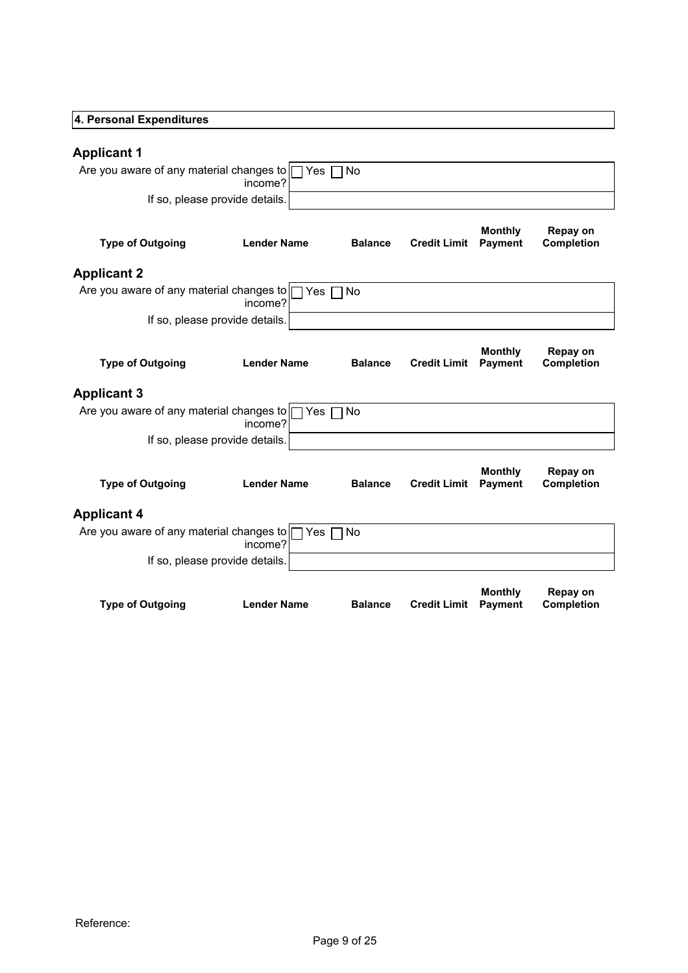| 4. Personal Expenditures                                      |                                           |                |                     |                                  |                               |
|---------------------------------------------------------------|-------------------------------------------|----------------|---------------------|----------------------------------|-------------------------------|
| <b>Applicant 1</b>                                            |                                           |                |                     |                                  |                               |
| Are you aware of any material changes to T Yes T No           | income?                                   |                |                     |                                  |                               |
|                                                               | If so, please provide details.            |                |                     |                                  |                               |
| <b>Type of Outgoing</b>                                       | <b>Lender Name</b>                        | <b>Balance</b> | <b>Credit Limit</b> | <b>Monthly</b><br><b>Payment</b> | Repay on<br><b>Completion</b> |
| <b>Applicant 2</b>                                            |                                           |                |                     |                                  |                               |
| Are you aware of any material changes to $\Box$ Yes $\Box$ No | income?                                   |                |                     |                                  |                               |
|                                                               | If so, please provide details.            |                |                     |                                  |                               |
| <b>Type of Outgoing</b>                                       | <b>Lender Name</b>                        | <b>Balance</b> | <b>Credit Limit</b> | <b>Monthly</b><br><b>Payment</b> | Repay on<br>Completion        |
| <b>Applicant 3</b>                                            |                                           |                |                     |                                  |                               |
| Are you aware of any material changes to $\Box$ Yes $\Box$ No | income?<br>If so, please provide details. |                |                     |                                  |                               |
|                                                               |                                           |                |                     | <b>Monthly</b>                   | Repay on                      |
| <b>Type of Outgoing</b>                                       | <b>Lender Name</b>                        | <b>Balance</b> | <b>Credit Limit</b> | <b>Payment</b>                   | Completion                    |
| <b>Applicant 4</b>                                            |                                           |                |                     |                                  |                               |
| Are you aware of any material changes to □ Yes □ No           | income?                                   |                |                     |                                  |                               |
|                                                               | If so, please provide details.            |                |                     |                                  |                               |
| <b>Type of Outgoing</b>                                       | <b>Lender Name</b>                        | <b>Balance</b> | <b>Credit Limit</b> | <b>Monthly</b><br>Payment        | Repay on<br>Completion        |
|                                                               |                                           |                |                     |                                  |                               |
|                                                               |                                           |                |                     |                                  |                               |
|                                                               |                                           |                |                     |                                  |                               |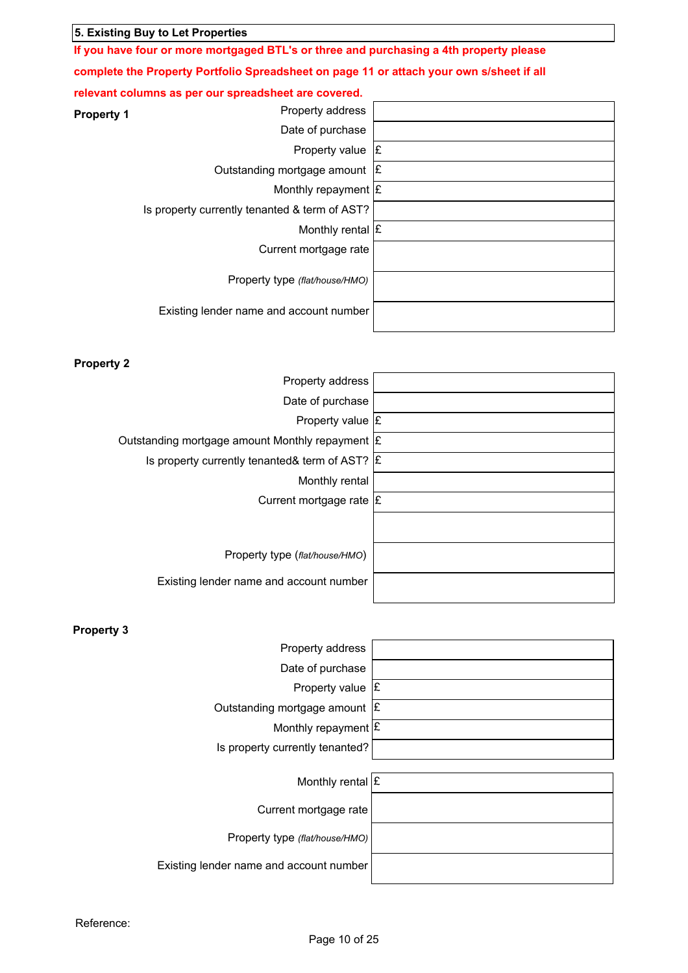| 5. Existing Buy to Let Properties                                                             |  |
|-----------------------------------------------------------------------------------------------|--|
| If you have four or more mortgaged BTL's or three and purchasing a 4th property please        |  |
| complete the Property Portfolio Spreadsheet on page 11 or attach your own s/sheet if all      |  |
| relevant columns as per our spreadsheet are covered.<br>Property address<br><b>Property 1</b> |  |
| Date of purchase                                                                              |  |
| Property value $\mathbf{E}$                                                                   |  |
| Outstanding mortgage amount E                                                                 |  |
| Monthly repayment $\mathbf E$                                                                 |  |
| Is property currently tenanted & term of AST?                                                 |  |
| Monthly rental $E$                                                                            |  |
| Current mortgage rate                                                                         |  |
| Property type (flat/house/HMO)                                                                |  |
| Existing lender name and account number                                                       |  |
|                                                                                               |  |
|                                                                                               |  |
| <b>Property 2</b><br>Property address                                                         |  |
| Date of purchase                                                                              |  |
| Property value $E$                                                                            |  |
| Outstanding mortgage amount Monthly repayment $ \mathbf{f} $                                  |  |
| Is property currently tenanted& term of AST? $ E $                                            |  |
| Monthly rental                                                                                |  |
| Current mortgage rate E                                                                       |  |
|                                                                                               |  |
| Property type (flat/house/HMO)                                                                |  |
| Existing lender name and account number                                                       |  |
|                                                                                               |  |
| <b>Property 3</b>                                                                             |  |
| Property address                                                                              |  |
| Date of purchase                                                                              |  |
| Property value $\sqrt{\mathbf{E}}$                                                            |  |
| Outstanding mortgage amount $\mathsf{E}\left[$                                                |  |
| Monthly repayment $\mathbf{E}$                                                                |  |
| Is property currently tenanted?                                                               |  |

| Monthly rental $\mathbf E$              |  |
|-----------------------------------------|--|
| Current mortgage rate                   |  |
| Property type (flat/house/HMO)          |  |
| Existing lender name and account number |  |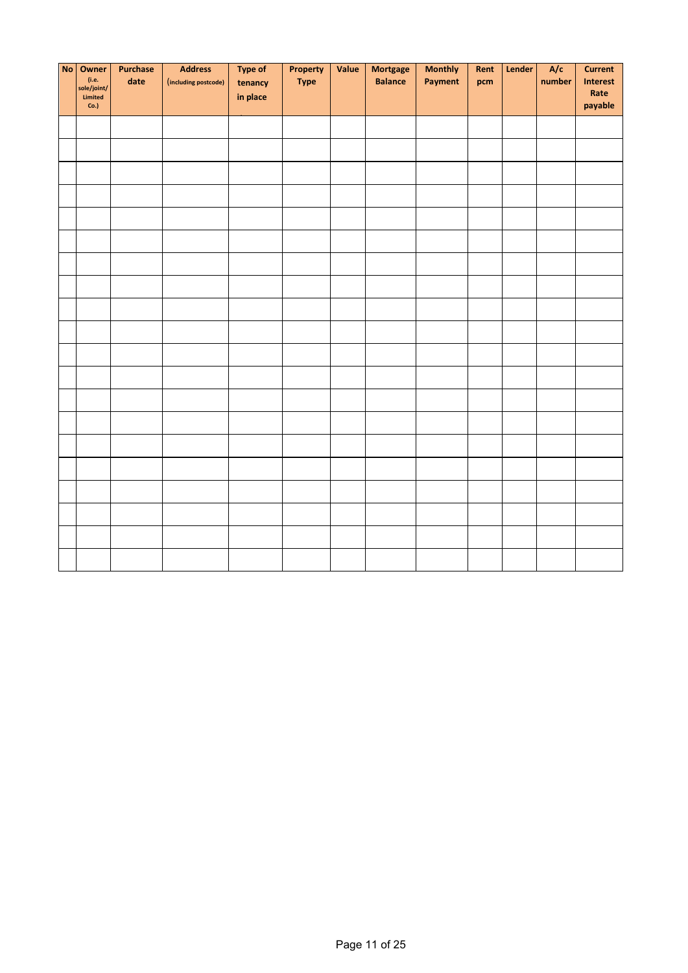| No Owner<br>(i.e.<br>sole/joint/<br>Limited<br>Co.] | Purchase<br>date | <b>Address</b><br>(including postcode) | <b>Type of</b><br>tenancy<br>in place | Property<br><b>Type</b> | Value | <b>Mortgage</b><br><b>Balance</b> | <b>Monthly</b><br>Payment | Rent<br>pcm | Lender | A/c<br>number | <b>Current</b><br>Interest<br>Rate<br>payable |
|-----------------------------------------------------|------------------|----------------------------------------|---------------------------------------|-------------------------|-------|-----------------------------------|---------------------------|-------------|--------|---------------|-----------------------------------------------|
|                                                     |                  |                                        |                                       |                         |       |                                   |                           |             |        |               |                                               |
|                                                     |                  |                                        |                                       |                         |       |                                   |                           |             |        |               |                                               |
|                                                     |                  |                                        |                                       |                         |       |                                   |                           |             |        |               |                                               |
|                                                     |                  |                                        |                                       |                         |       |                                   |                           |             |        |               |                                               |
|                                                     |                  |                                        |                                       |                         |       |                                   |                           |             |        |               |                                               |
|                                                     |                  |                                        |                                       |                         |       |                                   |                           |             |        |               |                                               |
|                                                     |                  |                                        |                                       |                         |       |                                   |                           |             |        |               |                                               |
|                                                     |                  |                                        |                                       |                         |       |                                   |                           |             |        |               |                                               |
|                                                     |                  |                                        |                                       |                         |       |                                   |                           |             |        |               |                                               |
|                                                     |                  |                                        |                                       |                         |       |                                   |                           |             |        |               |                                               |
|                                                     |                  |                                        |                                       |                         |       |                                   |                           |             |        |               |                                               |
|                                                     |                  |                                        |                                       |                         |       |                                   |                           |             |        |               |                                               |
|                                                     |                  |                                        |                                       |                         |       |                                   |                           |             |        |               |                                               |
|                                                     |                  |                                        |                                       |                         |       |                                   |                           |             |        |               |                                               |
|                                                     |                  |                                        |                                       |                         |       |                                   |                           |             |        |               |                                               |
|                                                     |                  |                                        |                                       |                         |       |                                   |                           |             |        |               |                                               |
|                                                     |                  |                                        |                                       |                         |       |                                   |                           |             |        |               |                                               |
|                                                     |                  |                                        |                                       |                         |       |                                   |                           |             |        |               |                                               |
|                                                     |                  |                                        |                                       |                         |       |                                   |                           |             |        |               |                                               |
|                                                     |                  |                                        |                                       |                         |       |                                   |                           |             |        |               |                                               |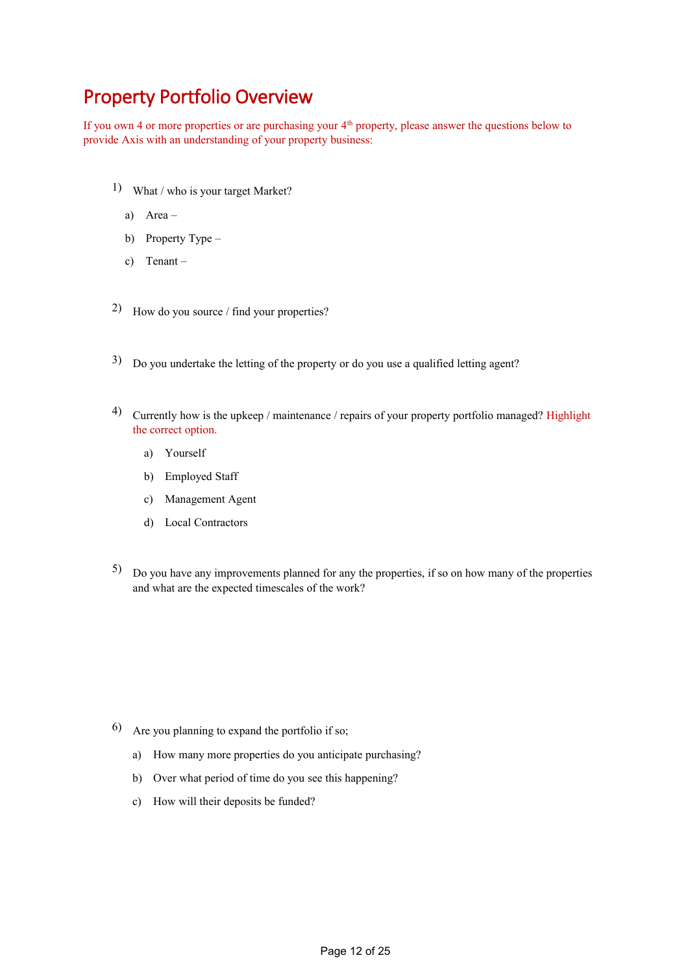# Property Portfolio Overview

If you own 4 or more properties or are purchasing your 4<sup>th</sup> property, please answer the questions below to provide Axis with an understanding of your property business:

- 1) What / who is your target Market?
	- a) Area –
	- b) Property Type –
	- c) Tenant –
- 2) How do you source / find your properties?
- 3) Do you undertake the letting of the property or do you use a qualified letting agent?
- 4) Currently how is the upkeep / maintenance / repairs of your property portfolio managed? Highlight the correct option.
	- a) Yourself
	- b) Employed Staff
	- c) Management Agent
	- d) Local Contractors
- 5) Do you have any improvements planned for any the properties, if so on how many of the properties and what are the expected timescales of the work?

- 6) Are you planning to expand the portfolio if so;
	- a) How many more properties do you anticipate purchasing?
	- b) Over what period of time do you see this happening?
	- c) How will their deposits be funded?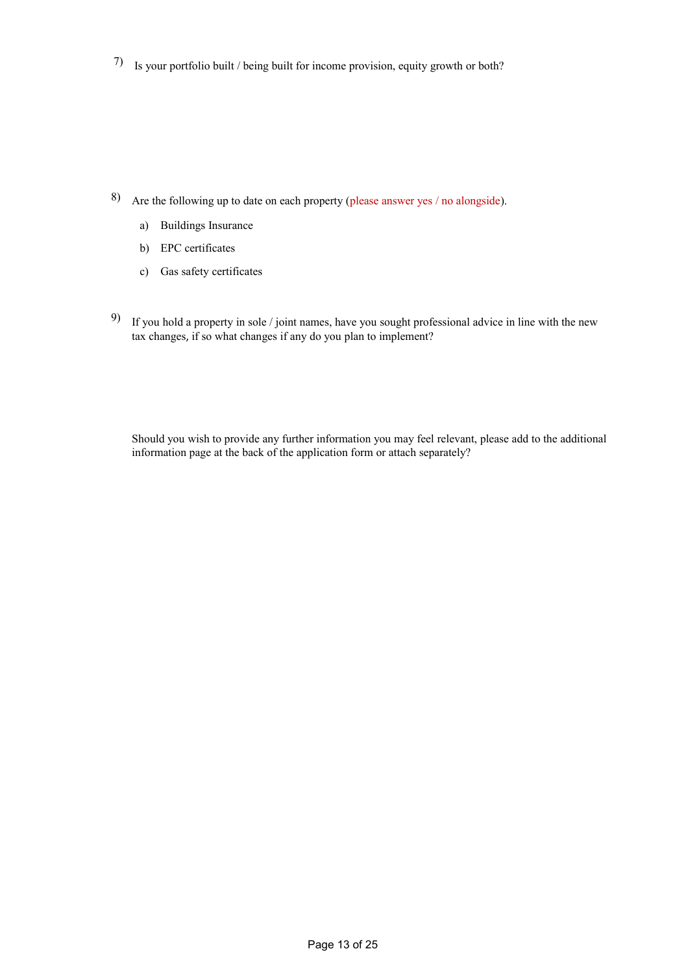7) Is your portfolio built / being built for income provision, equity growth or both?

- 8) Are the following up to date on each property (please answer yes / no alongside).
	- a) Buildings Insurance
	- b) EPC certificates
	- c) Gas safety certificates
- <sup>9)</sup> If you hold a property in sole / joint names, have you sought professional advice in line with the new tax changes, if so what changes if any do you plan to implement?

Should you wish to provide any further information you may feel relevant, please add to the additional information page at the back of the application form or attach separately?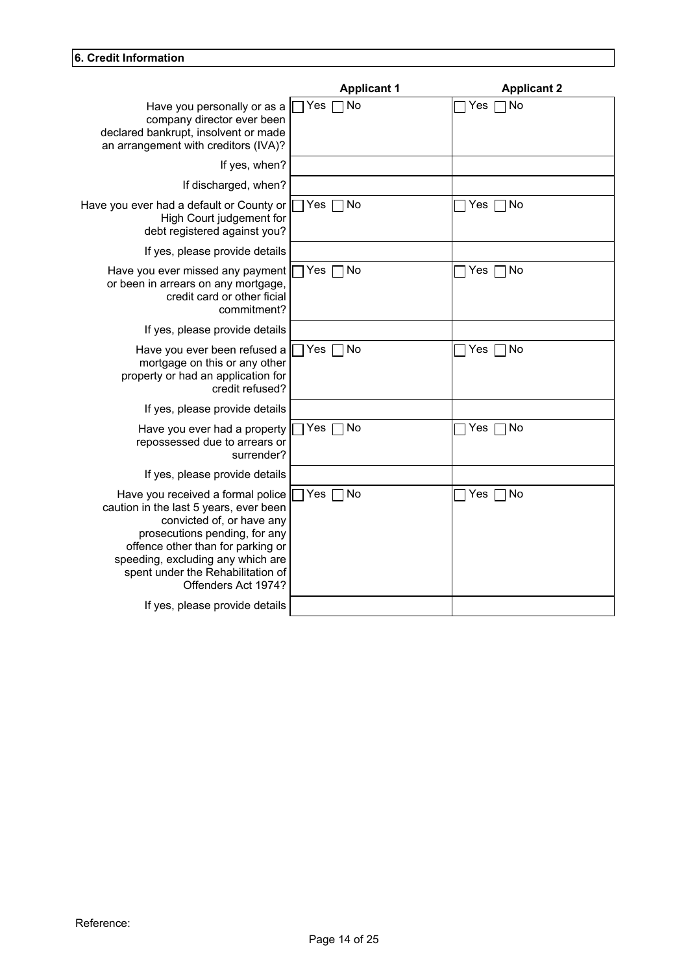| 6. Credit Information                                                                                                                                                                     |                    |                      |
|-------------------------------------------------------------------------------------------------------------------------------------------------------------------------------------------|--------------------|----------------------|
|                                                                                                                                                                                           | <b>Applicant 1</b> | <b>Applicant 2</b>   |
| Have you personally or as a $\Box$ Yes $\Box$ No<br>company director ever been<br>declared bankrupt, insolvent or made<br>an arrangement with creditors (IVA)?                            |                    | $\Box$ Yes $\Box$ No |
| If yes, when?                                                                                                                                                                             |                    |                      |
| If discharged, when?                                                                                                                                                                      |                    |                      |
| Have you ever had a default or County or   Yes   No<br>High Court judgement for<br>debt registered against you?                                                                           |                    | $\Box$ Yes $\Box$ No |
| If yes, please provide details                                                                                                                                                            |                    |                      |
| Have you ever missed any payment   Yes Mo<br>or been in arrears on any mortgage,<br>credit card or other ficial<br>commitment?                                                            |                    | $\Box$ Yes $\Box$ No |
| If yes, please provide details                                                                                                                                                            |                    |                      |
| Have you ever been refused a   Yes   No<br>mortgage on this or any other<br>property or had an application for<br>credit refused?                                                         |                    | $\Box$ Yes $\Box$ No |
| If yes, please provide details                                                                                                                                                            |                    |                      |
| Have you ever had a property   Yes no<br>repossessed due to arrears or<br>surrender?                                                                                                      |                    | $\Box$ Yes $\Box$ No |
| If yes, please provide details                                                                                                                                                            |                    |                      |
| Have you received a formal police   Yes   No<br>caution in the last 5 years, ever been<br>convicted of, or have any<br>prosecutions pending, for any<br>offence other than for parking or |                    | $\Box$ Yes $\Box$ No |
| speeding, excluding any which are<br>spent under the Rehabilitation of<br>Offenders Act 1974?                                                                                             |                    |                      |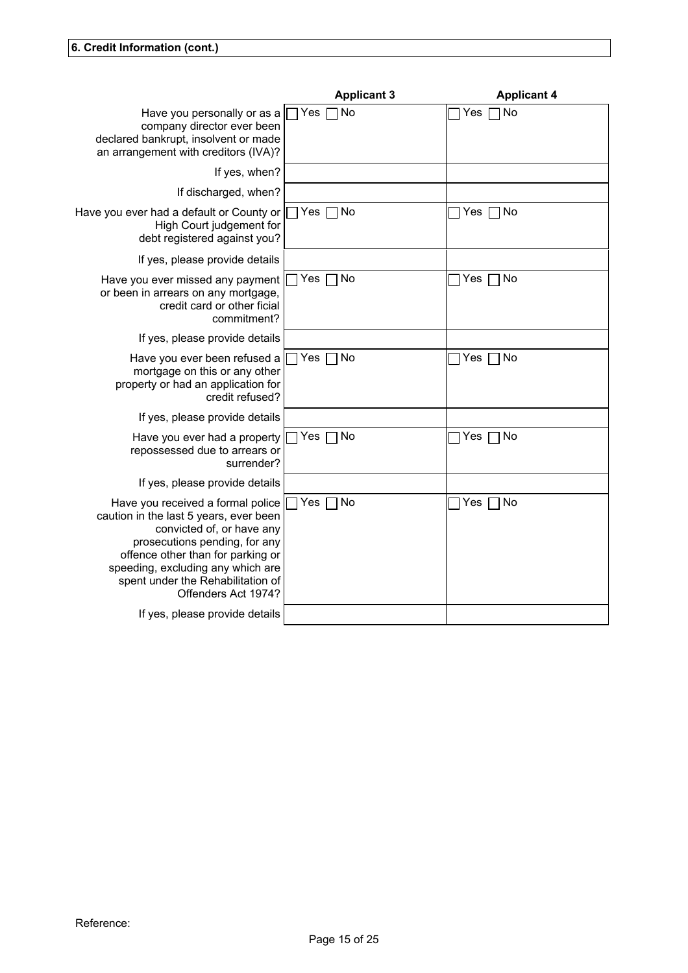|                                                                                                                                                                                                                                                                                 | <b>Applicant 3</b> | <b>Applicant 4</b>       |  |
|---------------------------------------------------------------------------------------------------------------------------------------------------------------------------------------------------------------------------------------------------------------------------------|--------------------|--------------------------|--|
| Have you personally or as a $\Pi$ Yes $\Pi$ No<br>company director ever been<br>declared bankrupt, insolvent or made<br>an arrangement with creditors (IVA)?                                                                                                                    |                    | Yes $\neg$ No            |  |
| If yes, when?                                                                                                                                                                                                                                                                   |                    |                          |  |
| If discharged, when?                                                                                                                                                                                                                                                            |                    |                          |  |
| Have you ever had a default or County or<br>High Court judgement for<br>debt registered against you?                                                                                                                                                                            | Yes $\neg$ No      | $Yes \nightharpoonup No$ |  |
| If yes, please provide details                                                                                                                                                                                                                                                  |                    |                          |  |
| Have you ever missed any payment $\Box$ Yes $\Box$ No<br>or been in arrears on any mortgage,<br>credit card or other ficial<br>commitment?                                                                                                                                      |                    | Yes $\neg$ No            |  |
| If yes, please provide details                                                                                                                                                                                                                                                  |                    |                          |  |
| Have you ever been refused a $\Box$ Yes $\Box$ No<br>mortgage on this or any other<br>property or had an application for<br>credit refused?                                                                                                                                     |                    | $Yes \Box No$            |  |
| If yes, please provide details                                                                                                                                                                                                                                                  |                    |                          |  |
| Have you ever had a property $\Box$ Yes $\Box$ No<br>repossessed due to arrears or<br>surrender?                                                                                                                                                                                |                    | $Yes \nightharpoonup No$ |  |
| If yes, please provide details                                                                                                                                                                                                                                                  |                    |                          |  |
| Have you received a formal police<br>caution in the last 5 years, ever been<br>convicted of, or have any<br>prosecutions pending, for any<br>offence other than for parking or<br>speeding, excluding any which are<br>spent under the Rehabilitation of<br>Offenders Act 1974? | Yes $\neg$ No      | Yes $\neg$ No            |  |
| If yes, please provide details                                                                                                                                                                                                                                                  |                    |                          |  |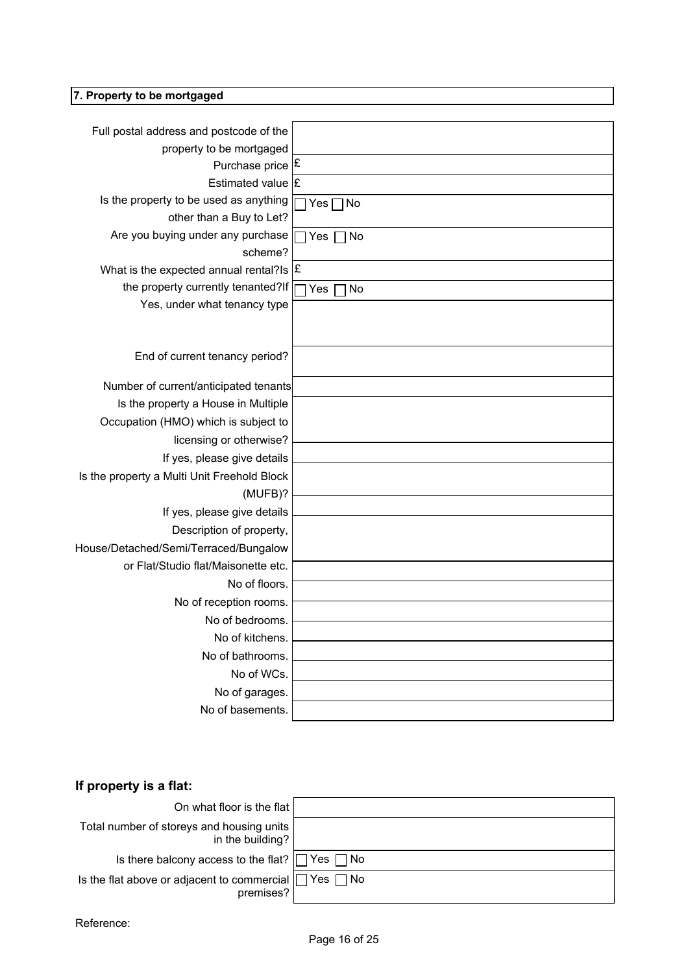| 7. Property to be mortgaged                                              |               |
|--------------------------------------------------------------------------|---------------|
|                                                                          |               |
| Full postal address and postcode of the                                  |               |
| property to be mortgaged                                                 |               |
| Purchase price E                                                         |               |
| Estimated value $E$                                                      |               |
| Is the property to be used as anything                                   | $Yes \Box No$ |
| other than a Buy to Let?<br>Are you buying under any purchase   Yes   No |               |
| scheme?                                                                  |               |
| What is the expected annual rental? Is $ \mathbf{E} $                    |               |
| the property currently tenanted?If                                       | Yes<br>No     |
| Yes, under what tenancy type                                             |               |
|                                                                          |               |
|                                                                          |               |
| End of current tenancy period?                                           |               |
| Number of current/anticipated tenants                                    |               |
| Is the property a House in Multiple                                      |               |
| Occupation (HMO) which is subject to                                     |               |
| licensing or otherwise?                                                  |               |
| If yes, please give details                                              |               |
| Is the property a Multi Unit Freehold Block                              |               |
| (MUFB)?<br>If yes, please give details                                   |               |
| Description of property,                                                 |               |
| House/Detached/Semi/Terraced/Bungalow                                    |               |
| or Flat/Studio flat/Maisonette etc.                                      |               |
| No of floors.                                                            |               |
| No of reception rooms.                                                   |               |
| No of bedrooms.                                                          |               |
| No of kitchens.                                                          |               |
| No of bathrooms.                                                         |               |
|                                                                          |               |
| No of WCs.                                                               |               |
| No of garages.<br>No of basements.                                       |               |

## **If property is a flat:**

| On what floor is the flat                                                     |  |
|-------------------------------------------------------------------------------|--|
| Total number of storeys and housing units<br>in the building?                 |  |
| Is there balcony access to the flat? $\Box$ Yes $\Box$ No                     |  |
| Is the flat above or adjacent to commercial $\Box$ Yes $\Box$ No<br>premises? |  |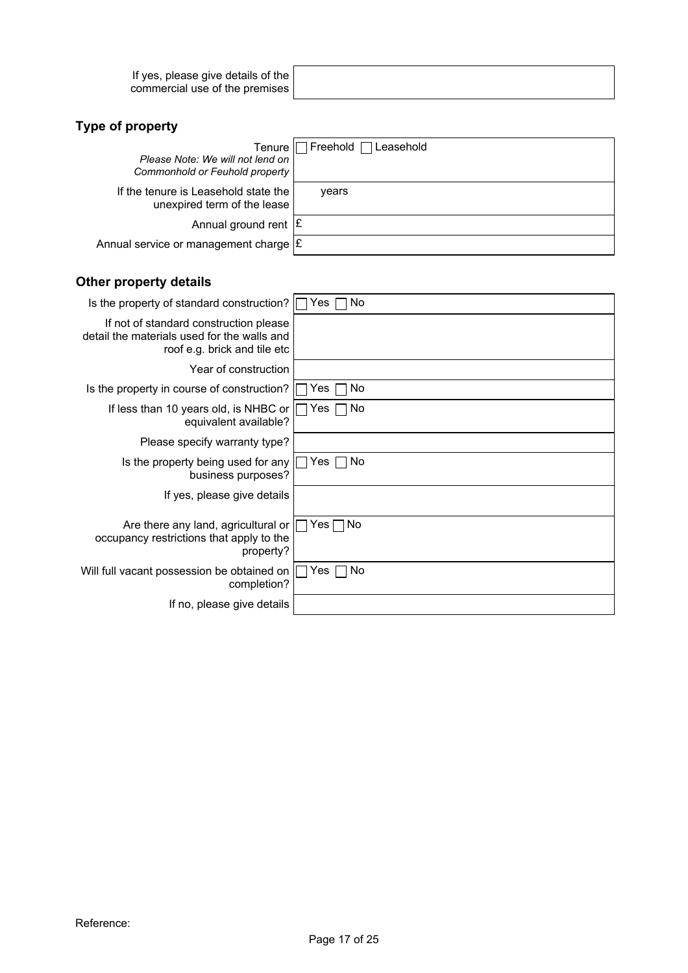| If yes, please give details of the |  |
|------------------------------------|--|
| commercial use of the premises     |  |
|                                    |  |

| Please Note: We will not lend on<br>Commonhold or Feuhold property  | Tenure   Freehold   Leasehold |  |
|---------------------------------------------------------------------|-------------------------------|--|
| If the tenure is Leasehold state the<br>unexpired term of the lease | vears                         |  |
| Annual ground rent $ \mathbf{E} $                                   |                               |  |
| Annual service or management charge E                               |                               |  |

## **Other property details**

| Is the property of standard construction?                                                                             | No<br>Yes     |
|-----------------------------------------------------------------------------------------------------------------------|---------------|
| If not of standard construction please<br>detail the materials used for the walls and<br>roof e.g. brick and tile etc |               |
| Year of construction                                                                                                  |               |
| Is the property in course of construction?                                                                            | Yes<br>l No   |
| If less than 10 years old, is NHBC or $\blacksquare$<br>equivalent available?                                         | l INo<br>Yes  |
| Please specify warranty type?                                                                                         |               |
| Is the property being used for any $\Box$<br>business purposes?                                                       | Yes ∏ No      |
| If yes, please give details                                                                                           |               |
| Are there any land, agricultural or $\Box$<br>occupancy restrictions that apply to the<br>property?                   | $Yes \Box No$ |
| Will full vacant possession be obtained on $\Box$<br>completion?                                                      | Yes $\Box$ No |
| If no, please give details                                                                                            |               |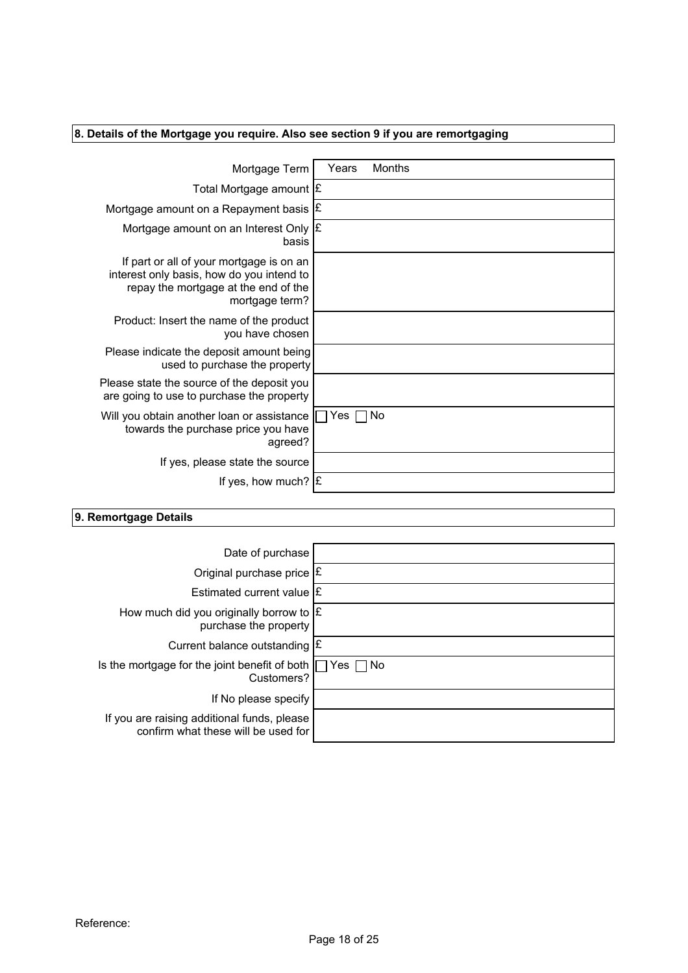| 8. Details of the Mortgage you require. Also see section 9 if you are remortgaging      |                 |
|-----------------------------------------------------------------------------------------|-----------------|
|                                                                                         |                 |
| Mortgage Term                                                                           | Months<br>Years |
| Total Mortgage amount E                                                                 |                 |
| Mortgage amount on a Repayment basis $ \mathbf{E} $                                     |                 |
| Mortgage amount on an Interest Only $ \mathbf{E} $<br>basis                             |                 |
| If part or all of your mortgage is on an<br>interest only basis, how do you intend to   |                 |
| repay the mortgage at the end of the                                                    |                 |
| mortgage term?                                                                          |                 |
| Product: Insert the name of the product<br>you have chosen                              |                 |
| Please indicate the deposit amount being<br>used to purchase the property               |                 |
| Please state the source of the deposit you<br>are going to use to purchase the property |                 |
| Will you obtain another loan or assistance<br>towards the purchase price you have       | Yes $\Box$ No   |
| agreed?                                                                                 |                 |
| If yes, please state the source                                                         |                 |
| If yes, how much? $\mathbf{E}$                                                          |                 |
|                                                                                         |                 |
| 9. Remortgage Details                                                                   |                 |
| Date of purchase                                                                        |                 |
| Original purchase price E                                                               |                 |
|                                                                                         |                 |
| Estimated current value $E$                                                             |                 |

| Date of purchase                                                                   |  |
|------------------------------------------------------------------------------------|--|
| Original purchase price E                                                          |  |
| Estimated current value $E$                                                        |  |
| How much did you originally borrow to $ \mathcal{E} $<br>purchase the property     |  |
| Current balance outstanding E                                                      |  |
| Is the mortgage for the joint benefit of both $\Box$ Yes $\Box$ No<br>Customers?   |  |
| If No please specify                                                               |  |
| If you are raising additional funds, please<br>confirm what these will be used for |  |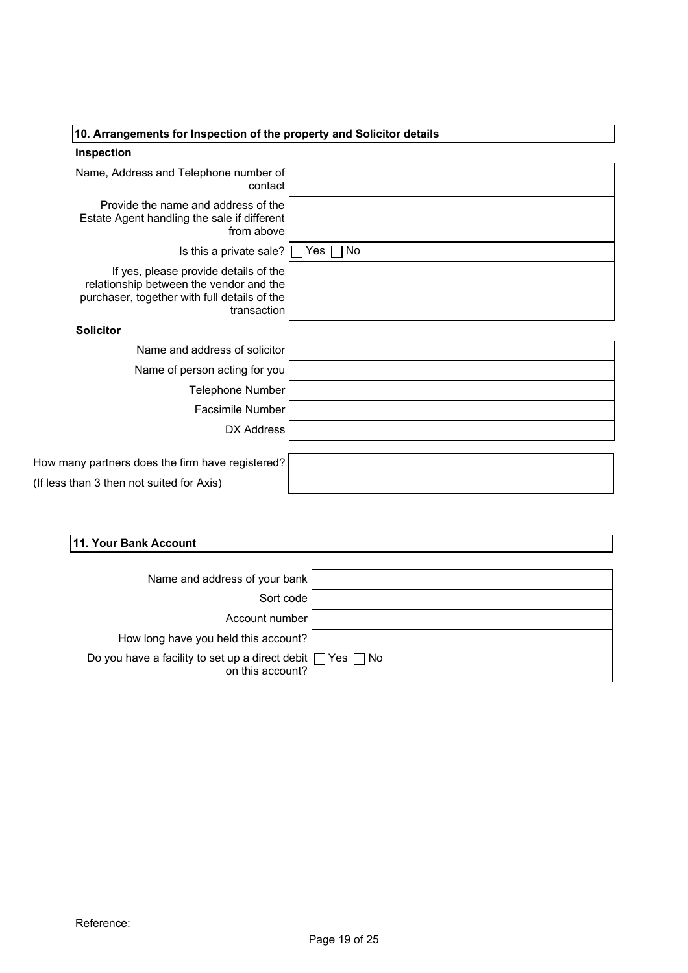| 10. Arrangements for Inspection of the property and Solicitor details                                                                           |  |
|-------------------------------------------------------------------------------------------------------------------------------------------------|--|
| Inspection                                                                                                                                      |  |
|                                                                                                                                                 |  |
| Name, Address and Telephone number of<br>contact                                                                                                |  |
| Provide the name and address of the<br>Estate Agent handling the sale if different<br>from above                                                |  |
| Is this a private sale? $\Box$ Yes $\Box$ No                                                                                                    |  |
| If yes, please provide details of the<br>relationship between the vendor and the<br>purchaser, together with full details of the<br>transaction |  |
| <b>Solicitor</b>                                                                                                                                |  |
| Name and address of solicitor                                                                                                                   |  |
| Name of person acting for you                                                                                                                   |  |
| Telephone Number                                                                                                                                |  |
| Facsimile Number                                                                                                                                |  |
| DX Address                                                                                                                                      |  |
|                                                                                                                                                 |  |
| How many partners does the firm have registered?                                                                                                |  |
| (If less than 3 then not suited for Axis)                                                                                                       |  |
|                                                                                                                                                 |  |
|                                                                                                                                                 |  |
| 11. Your Bank Account                                                                                                                           |  |
|                                                                                                                                                 |  |
| Name and address of your bank                                                                                                                   |  |
| Sort code<br>Account number                                                                                                                     |  |
|                                                                                                                                                 |  |
| How long hour you hold this account?                                                                                                            |  |

| Name and address of your bank                                                         |  |
|---------------------------------------------------------------------------------------|--|
| Sort code                                                                             |  |
| Account number                                                                        |  |
| How long have you held this account?                                                  |  |
| Do you have a facility to set up a direct debit $\Box$ Yes $\Box$ No on this account? |  |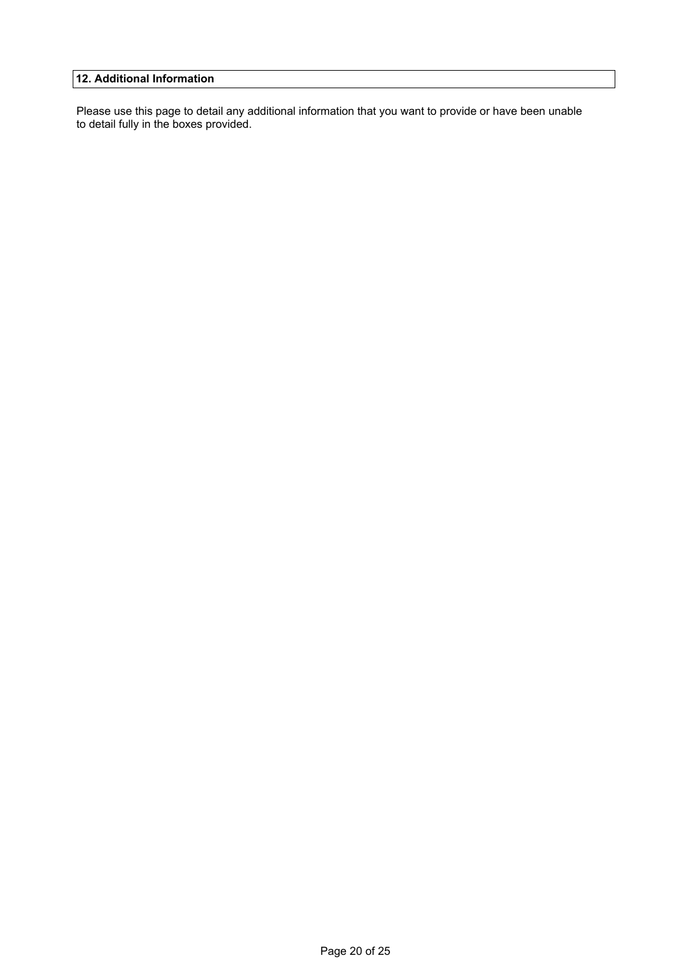**12. Additional Information**<br>Please use this page to detail any additional information that you want to provide or have been unabl<br>to detail fully in the boxes provided. Please use this page to detail any additional information that you want to provide or have been unable to detail fully in the boxes provided.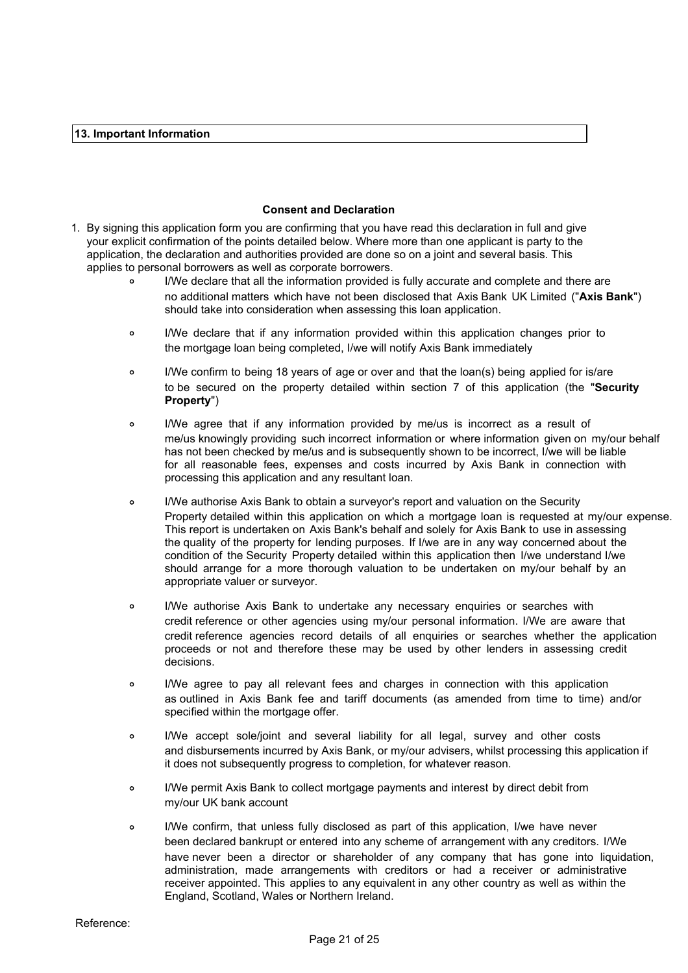### **Consent and Declaration**

- **13. Important Information**<br> **13. Important Information**<br> **14. In the conduction form you are confirming that you have read this declaration in full and given** 1. By signing this application form you are confirming that you have read this declaration in full and give your explicit confirmation of the points detailed below. Where more than one applicant is party to the application, the declaration and authorities provided are done so on a joint and several basis. This applies to personal borrowers as well as corporate borrowers. **Consent and Declaration**<br> **Consent and Declaration**<br> **Sopplication form you are confirming that you have read this declaration in full and give<br>
Infirmation of the points detailed below. Where more than one applicant is p** 
	- $\circ$ I/We declare that all the information provided is fully accurate and complete and there are no additional matters which have not been disclosed that Axis Bank UK Limited ("**Axis Bank**") should take into consideration when assessing this loan application.
	- $\circ$ the mortgage loan being completed, I/we will notify Axis Bank immediately
	- I/We confirm to being 18 years of age or over and that the loan(s) being applied for is/are  $\circ$ to be secured on the property detailed within section 7 of this application (the "**Security Property**")
	- **Consert and Declaration**<br> **Consert and Declaration**<br> **Consert and Declaration**<br> **Consert in a** provide conserved are confirming that you have read this declaration in full and give<br>
	declaration and authorities provided ar  $\circ$ me/us knowingly providing such incorrect information or where information given on my/our behalf has not been checked by me/us and is subsequently shown to be incorrect, I/we will be liable for all reasonable fees, expenses and costs incurred by Axis Bank in connection with processing this application and any resultant loan.
	- declaration and authorities provided are done so on a joint and several basis. This imal borrowers as well as conporate borrowers.<br>IMM educare that all the information provided is fully accurate and complete and there are<br> I/We declare that if any information provided within this application changes prior to<br>the montgage lean being completed, lwe will notify Axis Bank inmediately<br>I/We confirm to being 18 years of age or over and that the loa to be secured on the property detailed within section 7 of this application (the "Security")<br> **Property")**<br> **Property**<br> **Property**<br>
	INVe agree that if any information provided by meius is incorrect as a result of<br>
	Intellig processing this application and any resultant loan.<br>
	I/We authorise Axis Bank to botain a surveyor's report and valuation on the Security<br>
	Property detailed within this application on which a mortgage loan is requested at  $\circ$ I/We authorise Axis Bank to obtain a surveyor's report and valuation on the Security Property detailed within this application on which a mortgage loan is requested at my/our expense. This report is undertaken on Axis Bank's behalf and solely for Axis Bank to use in assessing the quality of the property for lending purposes. If I/we are in any way concerned about the condition of the Security Property detailed within this application then I/we understand I/we should arrange for a more thorough valuation to be undertaken on my/our behalf by an appropriate valuer or surveyor.
	- $\circ$ credit reference or other agencies using my/our personal information. I/We are aware that credit reference agencies record details of all enquiries or searches whether the application proceeds or not and therefore these may be used by other lenders in assessing credit decisions.
	- $\alpha$ as outlined in Axis Bank fee and tariff documents (as amended from time to time) and/or specified within the mortgage offer.
	- $\circ$ and disbursements incurred by Axis Bank, or my/our advisers, whilst processing this application if it does not subsequently progress to completion, for whatever reason.
	- $\circ$ I/We permit Axis Bank to collect mortgage payments and interest by direct debit from my/our UK bank account
	- $\alpha$ been declared bankrupt or entered into any scheme of arrangement with any creditors. I/We have never been a director or shareholder of any company that has gone into liquidation, administration, made arrangements with creditors or had a receiver or administrative receiver appointed. This applies to any equivalent in any other country as well as within the England, Scotland, Wales or Northern Ireland.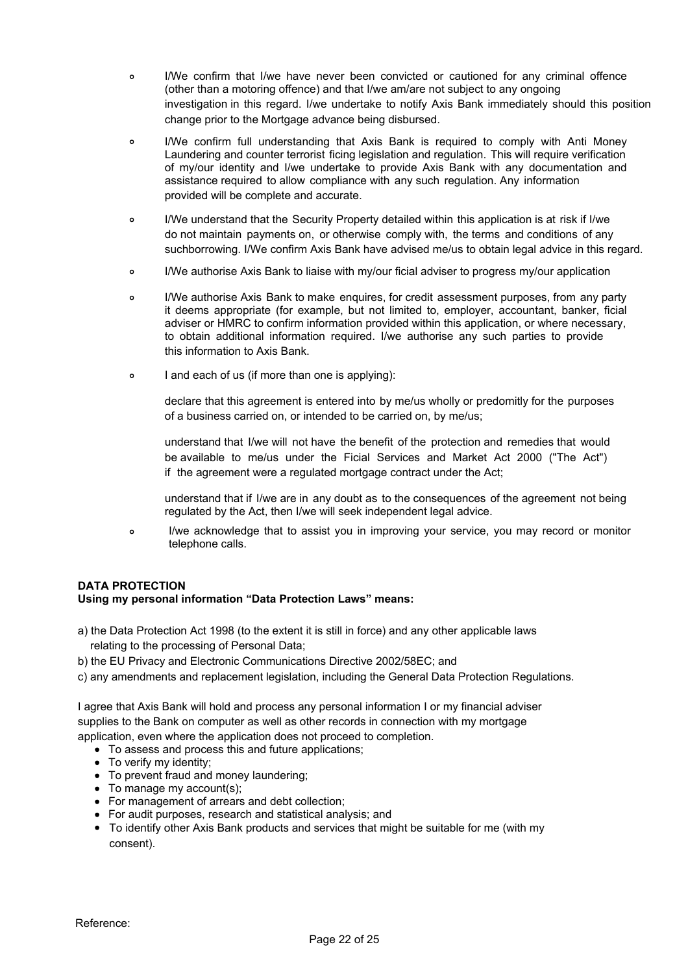- $\Delta$ (other than a motoring offence) and that I/we am/are not subject to any ongoing investigation in this regard. I/we undertake to notify Axis Bank immediately should this position change prior to the Mortgage advance being disbursed.
- I/We confirm that I/we have never been convicted or cautioned for any criminal offence<br>
(other than a motoring offence) and that I/we am/are not subject to any ongoing<br>
investigation in this regard. I/we undertake to notif I/We confirm that I/we have never been convicted or cautioned for any criminal offence<br>(other than a motoring offence) and that I/we am/are not subject to any ongoing<br>investigation in this regard. I/we undertake to notify I/We confirm that I/we have never been convicted or cautioned for any criminal offence<br>(other than a motoring offence) and that I/we am/are not subject to any ongoing<br>investigation in this regard. I/we undertake to notify I/We confirm that I/we have never been convicted or cautioned for any criminal offence<br>(iother than a motoring offence) and that I/we amize not subject to any ongoing<br>investigation in this regard. I/we undertake to notify  $\sim$ Laundering and counter terrorist ficing legislation and regulation. This will require verification<br>of my/our identity and I/we undertake to provide Axis Bank with any documentation and provided will be complete and accurate.
- $\sim$ I/We understand that the Security Property detailed within this application is at risk if I/we do not maintain payments on, or otherwise comply with, the terms and conditions of any suchborrowing. I/We confirm Axis Bank have advised me/us to obtain legal advice in this regard.
- I/We authorise Axis Bank to liaise with my/our ficial adviser to progress my/our application  $\sim$
- IWe confirm that live have never been convicted or cautioned for any criminal offence<br>intertient an amotoring offence) and that live amiate not subject to any ongoing<br>investigation in this regard. live undertake to notity I/We confirm that live have never been convicted or cautioned for any oriminal offence<br>(other than a motoring offence) and that live amiare not subject to any orgoing<br>investigation in this regard. I/we undertake to notify  $\sim$ I/We authorise Axis Bank to make enquires, for credit assessment purposes, from any party adviser or HMRC to confirm information provided within this application, or where necessary, this information to Axis Bank.
- $\circ$ I and each of us (if more than one is applying):

declare that this agreement is entered into by me/us wholly or predomitly for the purposes of a business carried on, or intended to be carried on, by me/us;

understand that I/we will not have the benefit of the protection and remedies that would be available to me/us under the Ficial Services and Market Act 2000 ("The Act") if the agreement were a regulated mortgage contract under the Act;

understand that if I/we are in any doubt as to the consequences of the agreement not being regulated by the Act, then I/we will seek independent legal advice.

I/we acknowledge that to assist you in improving your service, you may record or monitor  $\circ$ telephone calls.

## **DATA PROTECTION Using my personal information "Data Protection Laws" means:**

- a) the Data Protection Act 1998 (to the extent it is still in force) and any other applicable laws relating to the processing of Personal Data;
- b) the EU Privacy and Electronic Communications Directive 2002/58EC; and
- c) any amendments and replacement legislation, including the General Data Protection Regulations.

I agree that Axis Bank will hold and process any personal information I or my financial adviser supplies to the Bank on computer as well as other records in connection with my mortgage application, even where the application does not proceed to completion.

- To assess and process this and future applications:
- To verify my identity:
- To prevent fraud and money laundering:
- To manage my account(s):
- For management of arrears and debt collection;
- For audit purposes, research and statistical analysis; and
- To identify other Axis Bank products and services that might be suitable for me (with my consent).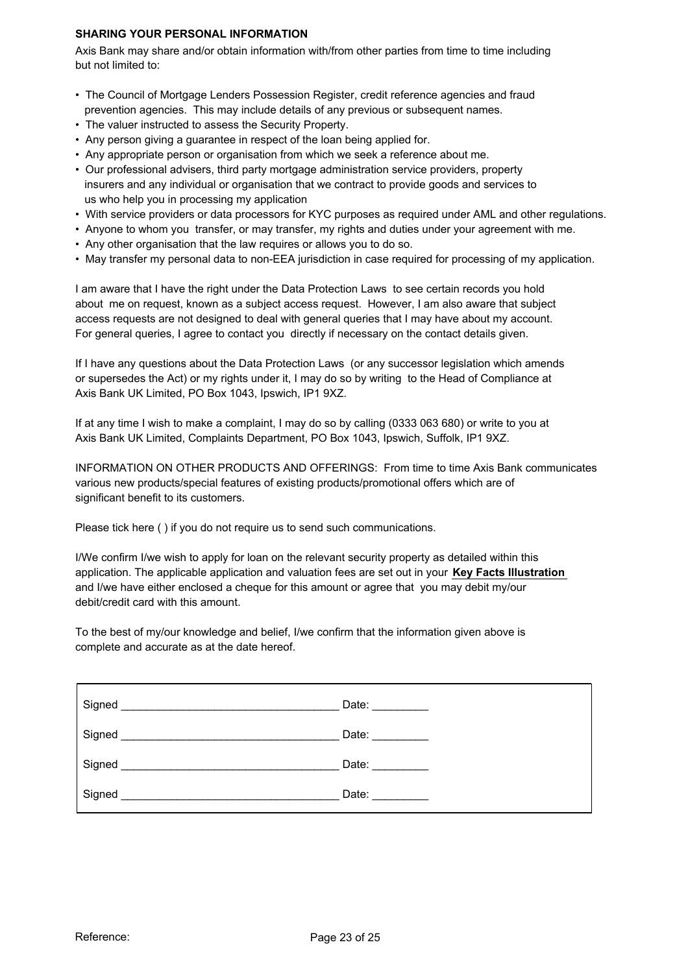### **SHARING YOUR PERSONAL INFORMATION**

Axis Bank may share and/or obtain information with/from other parties from time to time including but not limited to:

- The Council of Mortgage Lenders Possession Register, credit reference agencies and fraud prevention agencies. This may include details of any previous or subsequent names.
- The valuer instructed to assess the Security Property.
- Any person giving a guarantee in respect of the loan being applied for.
- Any appropriate person or organisation from which we seek a reference about me.
- Our professional advisers, third party mortgage administration service providers, property insurers and any individual or organisation that we contract to provide goods and services to us who help you in processing my application
- With service providers or data processors for KYC purposes as required under AML and other regulations.
- Anyone to whom you transfer, or may transfer, my rights and duties under your agreement with me.
- Any other organisation that the law requires or allows you to do so.
- May transfer my personal data to non-EEA jurisdiction in case required for processing of my application.

I am aware that I have the right under the Data Protection Laws to see certain records you hold about me on request, known as a subject access request. However, I am also aware that subject access requests are not designed to deal with general queries that I may have about my account. For general queries, I agree to contact you directly if necessary on the contact details given.

If I have any questions about the Data Protection Laws (or any successor legislation which amends or supersedes the Act) or my rights under it, I may do so by writing to the Head of Compliance at Axis Bank UK Limited, PO Box 1043, Ipswich, IP1 9XZ.

If at any time I wish to make a complaint, I may do so by calling (0333 063 680) or write to you at Axis Bank UK Limited, Complaints Department, PO Box 1043, Ipswich, Suffolk, IP1 9XZ.

INFORMATION ON OTHER PRODUCTS AND OFFERINGS: From time to time Axis Bank communicates various new products/special features of existing products/promotional offers which are of significant benefit to its customers.

Please tick here ( ) if you do not require us to send such communications.

I/We confirm I/we wish to apply for loan on the relevant security property as detailed within this application. The applicable application and valuation fees are set out in your **Key Facts Illustration** and I/we have either enclosed a cheque for this amount or agree that you may debit my/our debit/credit card with this amount.

To the best of my/our knowledge and belief, I/we confirm that the information given above is complete and accurate as at the date hereof.

| Signed | Date: $\qquad \qquad$ |  |
|--------|-----------------------|--|
| Signed | Date: $\frac{1}{2}$   |  |
| Signed | Date:                 |  |
| Signed | Date: $\_\_$          |  |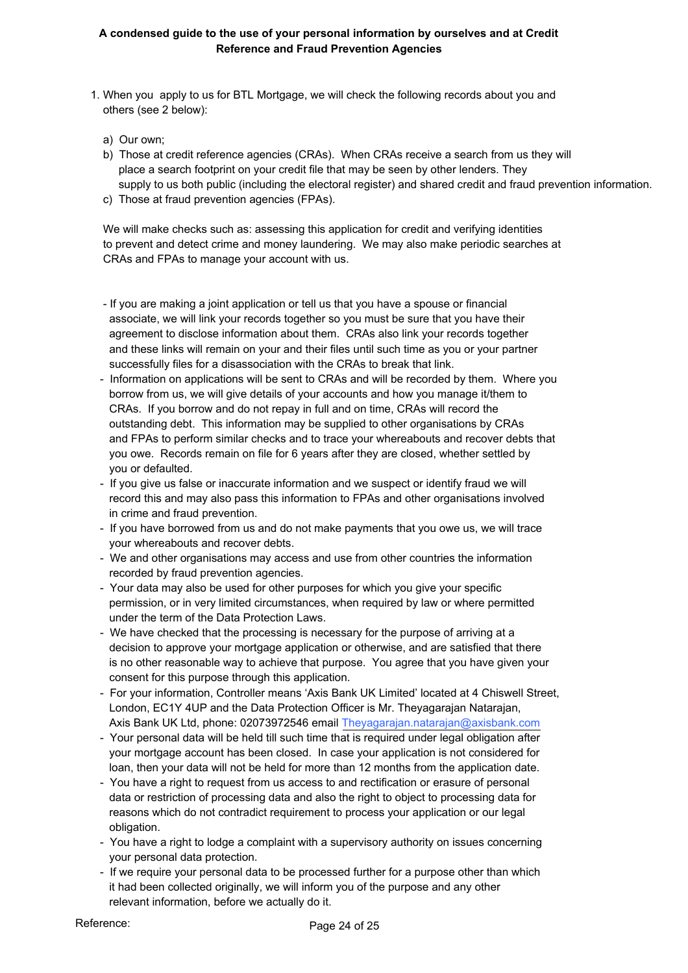## **A condensed guide to the use of your personal information by ourselves and at Credit Reference and Fraud Prevention Agencies**

- 1. When you apply to us for BTL Mortgage, we will check the following records about you and others (see 2 below):
	- a) Our own;
	- b) Those at credit reference agencies (CRAs). When CRAs receive a search from us they will place a search footprint on your credit file that may be seen by other lenders. They supply to us both public (including the electoral register) and shared credit and fraud prevention information.
	- c) Those at fraud prevention agencies (FPAs).

 We will make checks such as: assessing this application for credit and verifying identities to prevent and detect crime and money laundering. We may also make periodic searches at CRAs and FPAs to manage your account with us.

- If you are making a joint application or tell us that you have a spouse or financial associate, we will link your records together so you must be sure that you have their agreement to disclose information about them. CRAs also link your records together and these links will remain on your and their files until such time as you or your partner successfully files for a disassociation with the CRAs to break that link.
- Information on applications will be sent to CRAs and will be recorded by them. Where you borrow from us, we will give details of your accounts and how you manage it/them to CRAs. If you borrow and do not repay in full and on time, CRAs will record the outstanding debt. This information may be supplied to other organisations by CRAs and FPAs to perform similar checks and to trace your whereabouts and recover debts that you owe. Records remain on file for 6 years after they are closed, whether settled by you or defaulted.
- If you give us false or inaccurate information and we suspect or identify fraud we will record this and may also pass this information to FPAs and other organisations involved in crime and fraud prevention.
- If you have borrowed from us and do not make payments that you owe us, we will trace your whereabouts and recover debts.
- We and other organisations may access and use from other countries the information recorded by fraud prevention agencies.
- Your data may also be used for other purposes for which you give your specific permission, or in very limited circumstances, when required by law or where permitted under the term of the Data Protection Laws.
- We have checked that the processing is necessary for the purpose of arriving at a decision to approve your mortgage application or otherwise, and are satisfied that there is no other reasonable way to achieve that purpose. You agree that you have given your consent for this purpose through this application.
- For your information, Controller means 'Axis Bank UK Limited' located at 4 Chiswell Street, London, EC1Y 4UP and the Data Protection Officer is Mr. Theyagarajan Natarajan, Axis Bank UK Ltd, phone: 02073972546 email Theyagarajan.natarajan@axisbank.com
- Your personal data will be held till such time that is required under legal obligation after your mortgage account has been closed. In case your application is not considered for loan, then your data will not be held for more than 12 months from the application date.
- You have a right to request from us access to and rectification or erasure of personal data or restriction of processing data and also the right to object to processing data for reasons which do not contradict requirement to process your application or our legal obligation.
- You have a right to lodge a complaint with a supervisory authority on issues concerning your personal data protection.
- If we require your personal data to be processed further for a purpose other than which it had been collected originally, we will inform you of the purpose and any other relevant information, before we actually do it.